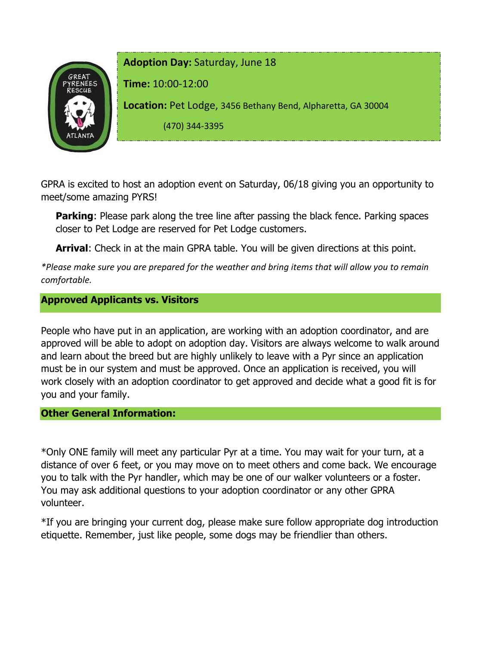

GPRA is excited to host an adoption event on Saturday, 06/18 giving you an opportunity to meet/some amazing PYRS!

**Parking:** Please park along the tree line after passing the black fence. Parking spaces closer to Pet Lodge are reserved for Pet Lodge customers.

**Arrival**: Check in at the main GPRA table. You will be given directions at this point.

*\*Please make sure you are prepared for the weather and bring items that will allow you to remain comfortable.*

## **Approved Applicants vs. Visitors**

People who have put in an application, are working with an adoption coordinator, and are approved will be able to adopt on adoption day. Visitors are always welcome to walk around and learn about the breed but are highly unlikely to leave with a Pyr since an application must be in our system and must be approved. Once an application is received, you will work closely with an adoption coordinator to get approved and decide what a good fit is for you and your family.

## **Other General Information:**

\*Only ONE family will meet any particular Pyr at a time. You may wait for your turn, at a distance of over 6 feet, or you may move on to meet others and come back. We encourage you to talk with the Pyr handler, which may be one of our walker volunteers or a foster. You may ask additional questions to your adoption coordinator or any other GPRA volunteer.

\*If you are bringing your current dog, please make sure follow appropriate dog introduction etiquette. Remember, just like people, some dogs may be friendlier than others.